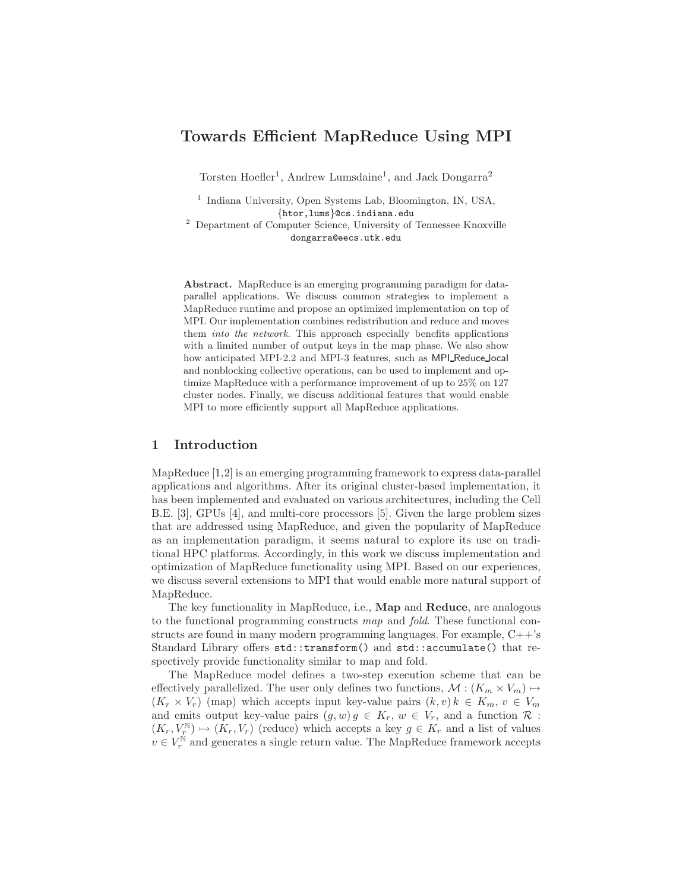# Towards Efficient MapReduce Using MPI

Torsten Hoefler<sup>1</sup>, Andrew Lumsdaine<sup>1</sup>, and Jack Dongarra<sup>2</sup>

<sup>1</sup> Indiana University, Open Systems Lab, Bloomington, IN, USA, {htor,lums}@cs.indiana.edu

<sup>2</sup> Department of Computer Science, University of Tennessee Knoxville dongarra@eecs.utk.edu

Abstract. MapReduce is an emerging programming paradigm for dataparallel applications. We discuss common strategies to implement a MapReduce runtime and propose an optimized implementation on top of MPI. Our implementation combines redistribution and reduce and moves them into the network. This approach especially benefits applications with a limited number of output keys in the map phase. We also show how anticipated MPI-2.2 and MPI-3 features, such as MPI<sub>-Reduce</sub> Jocal and nonblocking collective operations, can be used to implement and optimize MapReduce with a performance improvement of up to 25% on 127 cluster nodes. Finally, we discuss additional features that would enable MPI to more efficiently support all MapReduce applications.

### 1 Introduction

MapReduce [1,2] is an emerging programming framework to express data-parallel applications and algorithms. After its original cluster-based implementation, it has been implemented and evaluated on various architectures, including the Cell B.E. [3], GPUs [4], and multi-core processors [5]. Given the large problem sizes that are addressed using MapReduce, and given the popularity of MapReduce as an implementation paradigm, it seems natural to explore its use on traditional HPC platforms. Accordingly, in this work we discuss implementation and optimization of MapReduce functionality using MPI. Based on our experiences, we discuss several extensions to MPI that would enable more natural support of MapReduce.

The key functionality in MapReduce, i.e., Map and Reduce, are analogous to the functional programming constructs map and fold. These functional constructs are found in many modern programming languages. For example,  $C++s$ Standard Library offers std::transform() and std::accumulate() that respectively provide functionality similar to map and fold.

The MapReduce model defines a two-step execution scheme that can be effectively parallelized. The user only defines two functions,  $\mathcal{M} : (K_m \times V_m) \mapsto$  $(K_r \times V_r)$  (map) which accepts input key-value pairs  $(k, v) k \in K_m$ ,  $v \in V_m$ and emits output key-value pairs  $(g, w) g \in K_r$ ,  $w \in V_r$ , and a function  $\mathcal R$ :  $(K_r, V_r^{\mathbb{N}}) \mapsto (K_r, V_r)$  (reduce) which accepts a key  $g \in K_r$  and a list of values  $v \in V_r^{\mathbb{N}}$  and generates a single return value. The MapReduce framework accepts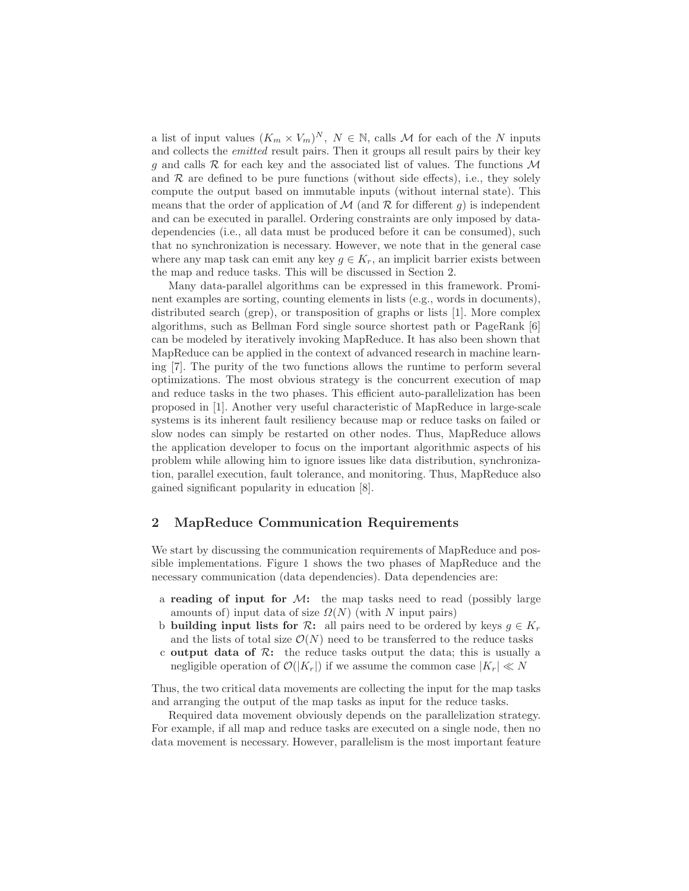a list of input values  $(K_m \times V_m)^N$ ,  $N \in \mathbb{N}$ , calls M for each of the N inputs and collects the emitted result pairs. Then it groups all result pairs by their key g and calls  $R$  for each key and the associated list of values. The functions  $M$ and  $R$  are defined to be pure functions (without side effects), i.e., they solely compute the output based on immutable inputs (without internal state). This means that the order of application of  $\mathcal M$  (and  $\mathcal R$  for different g) is independent and can be executed in parallel. Ordering constraints are only imposed by datadependencies (i.e., all data must be produced before it can be consumed), such that no synchronization is necessary. However, we note that in the general case where any map task can emit any key  $g \in K_r$ , an implicit barrier exists between the map and reduce tasks. This will be discussed in Section 2.

Many data-parallel algorithms can be expressed in this framework. Prominent examples are sorting, counting elements in lists (e.g., words in documents), distributed search (grep), or transposition of graphs or lists [1]. More complex algorithms, such as Bellman Ford single source shortest path or PageRank [6] can be modeled by iteratively invoking MapReduce. It has also been shown that MapReduce can be applied in the context of advanced research in machine learning [7]. The purity of the two functions allows the runtime to perform several optimizations. The most obvious strategy is the concurrent execution of map and reduce tasks in the two phases. This efficient auto-parallelization has been proposed in [1]. Another very useful characteristic of MapReduce in large-scale systems is its inherent fault resiliency because map or reduce tasks on failed or slow nodes can simply be restarted on other nodes. Thus, MapReduce allows the application developer to focus on the important algorithmic aspects of his problem while allowing him to ignore issues like data distribution, synchronization, parallel execution, fault tolerance, and monitoring. Thus, MapReduce also gained significant popularity in education [8].

## 2 MapReduce Communication Requirements

We start by discussing the communication requirements of MapReduce and possible implementations. Figure 1 shows the two phases of MapReduce and the necessary communication (data dependencies). Data dependencies are:

- a reading of input for  $M$ : the map tasks need to read (possibly large amounts of) input data of size  $\Omega(N)$  (with N input pairs)
- b **building input lists for R:** all pairs need to be ordered by keys  $g \in K_r$ and the lists of total size  $\mathcal{O}(N)$  need to be transferred to the reduce tasks
- c **output data of R:** the reduce tasks output the data; this is usually a negligible operation of  $\mathcal{O}(|K_r|)$  if we assume the common case  $|K_r| \ll N$

Thus, the two critical data movements are collecting the input for the map tasks and arranging the output of the map tasks as input for the reduce tasks.

Required data movement obviously depends on the parallelization strategy. For example, if all map and reduce tasks are executed on a single node, then no data movement is necessary. However, parallelism is the most important feature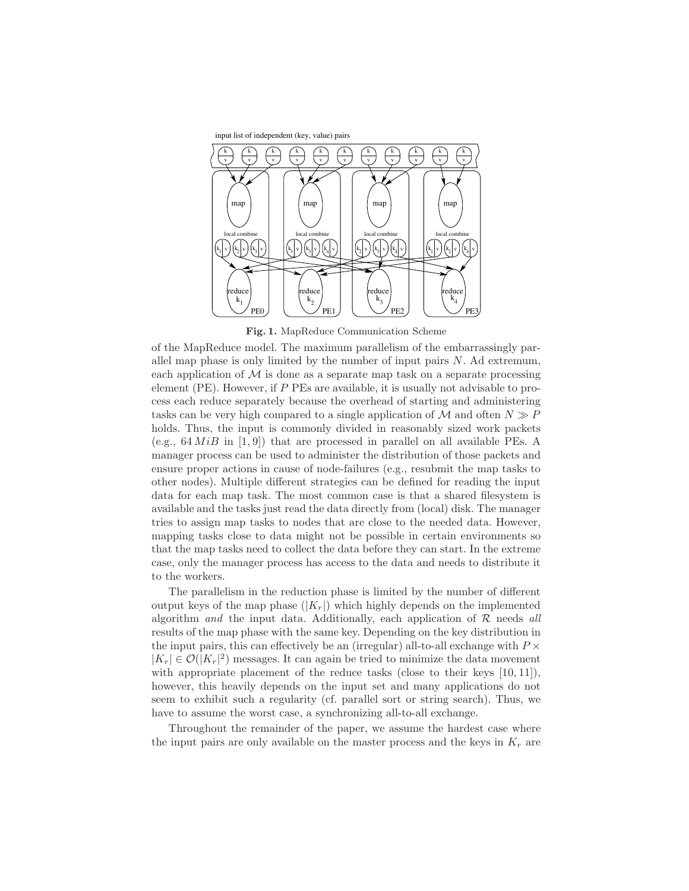

Fig. 1. MapReduce Communication Scheme

of the MapReduce model. The maximum parallelism of the embarrassingly parallel map phase is only limited by the number of input pairs  $N$ . Ad extremum, each application of  $\mathcal M$  is done as a separate map task on a separate processing element (PE). However, if P PEs are available, it is usually not advisable to process each reduce separately because the overhead of starting and administering tasks can be very high compared to a single application of  $\mathcal M$  and often  $N \gg P$ holds. Thus, the input is commonly divided in reasonably sized work packets (e.g.,  $64 MiB$  in [1,9]) that are processed in parallel on all available PEs. A manager process can be used to administer the distribution of those packets and ensure proper actions in cause of node-failures (e.g., resubmit the map tasks to other nodes). Multiple different strategies can be defined for reading the input data for each map task. The most common case is that a shared filesystem is available and the tasks just read the data directly from (local) disk. The manager tries to assign map tasks to nodes that are close to the needed data. However, mapping tasks close to data might not be possible in certain environments so that the map tasks need to collect the data before they can start. In the extreme case, only the manager process has access to the data and needs to distribute it to the workers.

The parallelism in the reduction phase is limited by the number of different output keys of the map phase  $(|K_r|)$  which highly depends on the implemented algorithm and the input data. Additionally, each application of  $R$  needs all results of the map phase with the same key. Depending on the key distribution in the input pairs, this can effectively be an (irregular) all-to-all exchange with  $P \times$  $|K_r| \in \mathcal{O}(|K_r|^2)$  messages. It can again be tried to minimize the data movement with appropriate placement of the reduce tasks (close to their keys [10, 11]), however, this heavily depends on the input set and many applications do not seem to exhibit such a regularity (cf. parallel sort or string search). Thus, we have to assume the worst case, a synchronizing all-to-all exchange.

Throughout the remainder of the paper, we assume the hardest case where the input pairs are only available on the master process and the keys in  $K_r$  are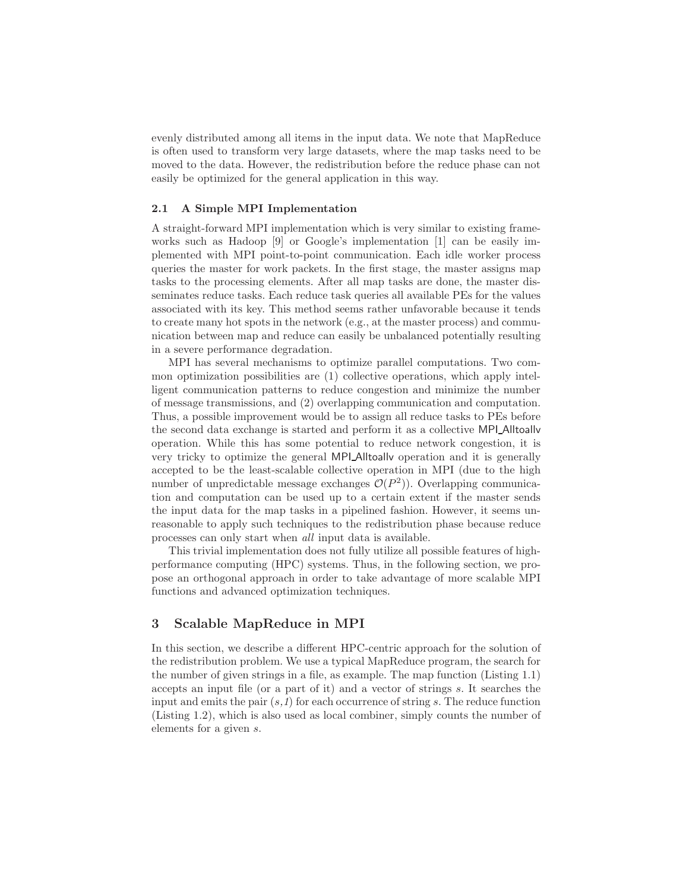evenly distributed among all items in the input data. We note that MapReduce is often used to transform very large datasets, where the map tasks need to be moved to the data. However, the redistribution before the reduce phase can not easily be optimized for the general application in this way.

### 2.1 A Simple MPI Implementation

A straight-forward MPI implementation which is very similar to existing frameworks such as Hadoop [9] or Google's implementation [1] can be easily implemented with MPI point-to-point communication. Each idle worker process queries the master for work packets. In the first stage, the master assigns map tasks to the processing elements. After all map tasks are done, the master disseminates reduce tasks. Each reduce task queries all available PEs for the values associated with its key. This method seems rather unfavorable because it tends to create many hot spots in the network (e.g., at the master process) and communication between map and reduce can easily be unbalanced potentially resulting in a severe performance degradation.

MPI has several mechanisms to optimize parallel computations. Two common optimization possibilities are (1) collective operations, which apply intelligent communication patterns to reduce congestion and minimize the number of message transmissions, and (2) overlapping communication and computation. Thus, a possible improvement would be to assign all reduce tasks to PEs before the second data exchange is started and perform it as a collective MPI Alltoallv operation. While this has some potential to reduce network congestion, it is very tricky to optimize the general MPI Alltoallv operation and it is generally accepted to be the least-scalable collective operation in MPI (due to the high number of unpredictable message exchanges  $\mathcal{O}(P^2)$ ). Overlapping communication and computation can be used up to a certain extent if the master sends the input data for the map tasks in a pipelined fashion. However, it seems unreasonable to apply such techniques to the redistribution phase because reduce processes can only start when all input data is available.

This trivial implementation does not fully utilize all possible features of highperformance computing (HPC) systems. Thus, in the following section, we propose an orthogonal approach in order to take advantage of more scalable MPI functions and advanced optimization techniques.

## 3 Scalable MapReduce in MPI

In this section, we describe a different HPC-centric approach for the solution of the redistribution problem. We use a typical MapReduce program, the search for the number of given strings in a file, as example. The map function (Listing 1.1) accepts an input file (or a part of it) and a vector of strings s. It searches the input and emits the pair  $(s,1)$  for each occurrence of string s. The reduce function (Listing 1.2), which is also used as local combiner, simply counts the number of elements for a given s.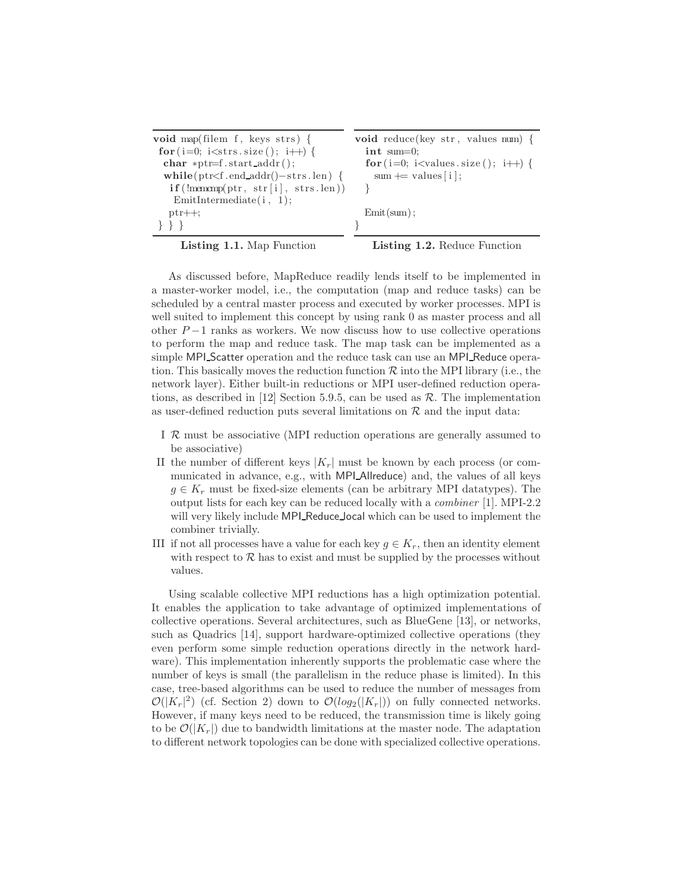| void map(filem f, keys strs) {                                                           | void reduce(key str, values num) {      |
|------------------------------------------------------------------------------------------|-----------------------------------------|
| for $(i=0; i<$ strs . size $(); i++)$ {                                                  | $\int$ int sum=0;                       |
| $char *ptr=f.start.addr();$                                                              | for $(i=0; i<$ values $size($ ; $i++$ { |
| $\textbf{while}(\text{ptr}\leq f.\text{end}\_\text{addr}(\text{--strs}\_\text{len})\ \{$ | $sum \leftarrow$ values $[i]$ ;         |
| $if(\text{lmemcmp}(\text{ptr}, \text{str}[i], \text{strs.len}))$                         |                                         |
| EmitIntermediate(i, 1);                                                                  |                                         |
| $ptr++;$                                                                                 | Emit(sum);                              |
|                                                                                          |                                         |
|                                                                                          |                                         |

Listing 1.1. Map Function



As discussed before, MapReduce readily lends itself to be implemented in a master-worker model, i.e., the computation (map and reduce tasks) can be scheduled by a central master process and executed by worker processes. MPI is well suited to implement this concept by using rank 0 as master process and all other  $P-1$  ranks as workers. We now discuss how to use collective operations to perform the map and reduce task. The map task can be implemented as a simple MPI Scatter operation and the reduce task can use an MPI Reduce operation. This basically moves the reduction function  $\mathcal R$  into the MPI library (i.e., the network layer). Either built-in reductions or MPI user-defined reduction operations, as described in [12] Section 5.9.5, can be used as  $\mathcal{R}$ . The implementation as user-defined reduction puts several limitations on  $R$  and the input data:

- I R must be associative (MPI reduction operations are generally assumed to be associative)
- II the number of different keys  $|K_r|$  must be known by each process (or communicated in advance, e.g., with MPI Allreduce) and, the values of all keys  $g \in K_r$  must be fixed-size elements (can be arbitrary MPI datatypes). The output lists for each key can be reduced locally with a combiner [1]. MPI-2.2 will very likely include MPI Reduce local which can be used to implement the combiner trivially.
- III if not all processes have a value for each key  $g \in K_r$ , then an identity element with respect to  $R$  has to exist and must be supplied by the processes without values.

Using scalable collective MPI reductions has a high optimization potential. It enables the application to take advantage of optimized implementations of collective operations. Several architectures, such as BlueGene [13], or networks, such as Quadrics [14], support hardware-optimized collective operations (they even perform some simple reduction operations directly in the network hardware). This implementation inherently supports the problematic case where the number of keys is small (the parallelism in the reduce phase is limited). In this case, tree-based algorithms can be used to reduce the number of messages from  $\mathcal{O}(|K_r|^2)$  (cf. Section 2) down to  $\mathcal{O}(log_2(|K_r|))$  on fully connected networks. However, if many keys need to be reduced, the transmission time is likely going to be  $\mathcal{O}(|K_r|)$  due to bandwidth limitations at the master node. The adaptation to different network topologies can be done with specialized collective operations.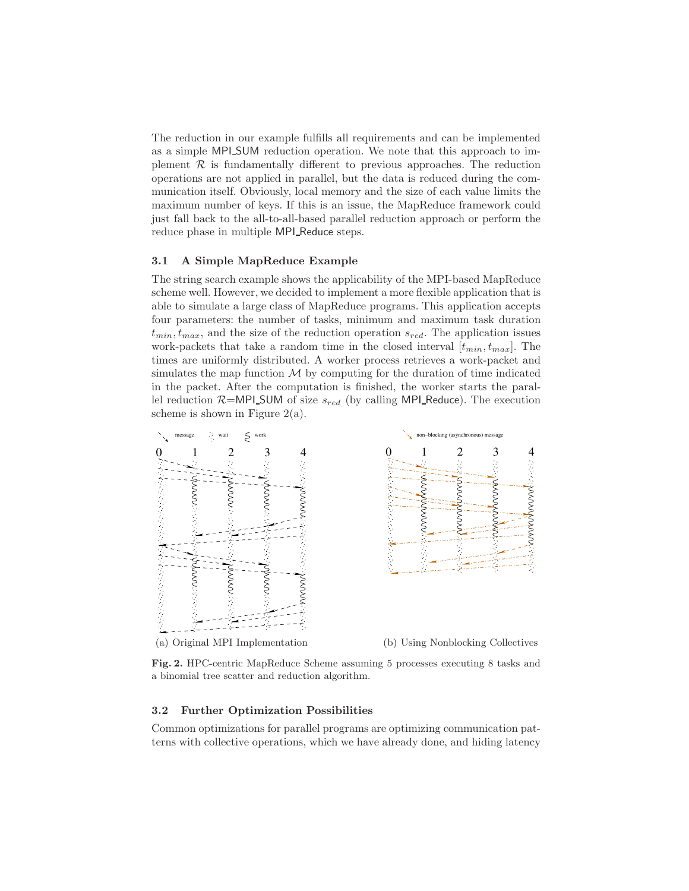The reduction in our example fulfills all requirements and can be implemented as a simple MPI\_SUM reduction operation. We note that this approach to implement  $\mathcal R$  is fundamentally different to previous approaches. The reduction operations are not applied in parallel, but the data is reduced during the communication itself. Obviously, local memory and the size of each value limits the maximum number of keys. If this is an issue, the MapReduce framework could just fall back to the all-to-all-based parallel reduction approach or perform the reduce phase in multiple MPI<sub>-Reduce steps</sub>.

#### 3.1 A Simple MapReduce Example

The string search example shows the applicability of the MPI-based MapReduce scheme well. However, we decided to implement a more flexible application that is able to simulate a large class of MapReduce programs. This application accepts four parameters: the number of tasks, minimum and maximum task duration  $t_{min}, t_{max}$ , and the size of the reduction operation  $s_{red}$ . The application issues work-packets that take a random time in the closed interval  $[t_{min}, t_{max}]$ . The times are uniformly distributed. A worker process retrieves a work-packet and simulates the map function  $\mathcal M$  by computing for the duration of time indicated in the packet. After the computation is finished, the worker starts the parallel reduction  $R=MPI_SUM$  of size  $s_{red}$  (by calling MPI Reduce). The execution scheme is shown in Figure 2(a).



Fig. 2. HPC-centric MapReduce Scheme assuming 5 processes executing 8 tasks and a binomial tree scatter and reduction algorithm.

### 3.2 Further Optimization Possibilities

Common optimizations for parallel programs are optimizing communication patterns with collective operations, which we have already done, and hiding latency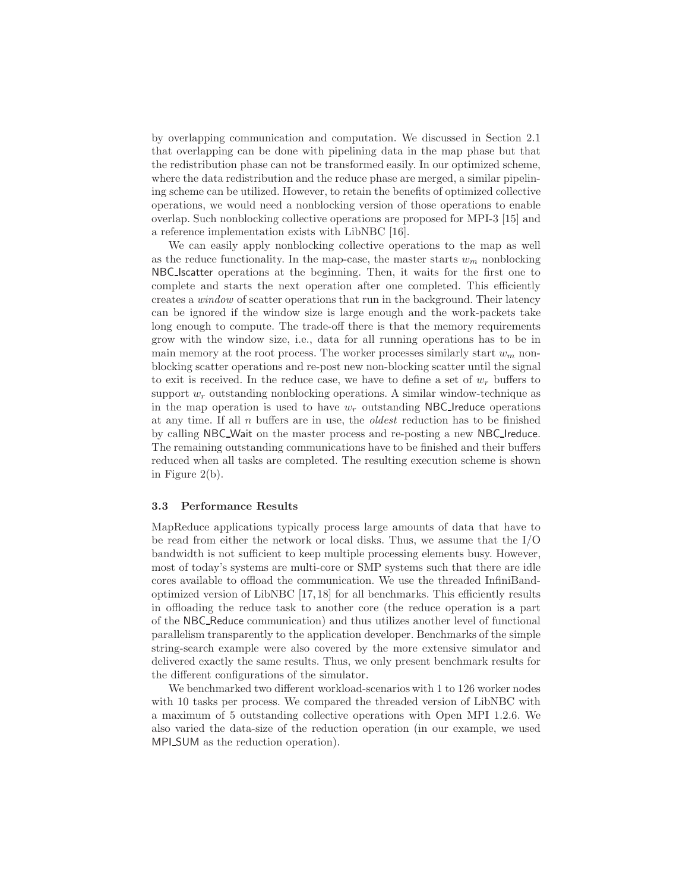by overlapping communication and computation. We discussed in Section 2.1 that overlapping can be done with pipelining data in the map phase but that the redistribution phase can not be transformed easily. In our optimized scheme, where the data redistribution and the reduce phase are merged, a similar pipelining scheme can be utilized. However, to retain the benefits of optimized collective operations, we would need a nonblocking version of those operations to enable overlap. Such nonblocking collective operations are proposed for MPI-3 [15] and a reference implementation exists with LibNBC [16].

We can easily apply nonblocking collective operations to the map as well as the reduce functionality. In the map-case, the master starts  $w_m$  nonblocking NBC Iscatter operations at the beginning. Then, it waits for the first one to complete and starts the next operation after one completed. This efficiently creates a window of scatter operations that run in the background. Their latency can be ignored if the window size is large enough and the work-packets take long enough to compute. The trade-off there is that the memory requirements grow with the window size, i.e., data for all running operations has to be in main memory at the root process. The worker processes similarly start  $w_m$  nonblocking scatter operations and re-post new non-blocking scatter until the signal to exit is received. In the reduce case, we have to define a set of  $w_r$  buffers to support  $w_r$  outstanding nonblocking operations. A similar window-technique as in the map operation is used to have  $w_r$  outstanding NBC Ireduce operations at any time. If all  $n$  buffers are in use, the *oldest* reduction has to be finished by calling NBC Wait on the master process and re-posting a new NBC Ireduce. The remaining outstanding communications have to be finished and their buffers reduced when all tasks are completed. The resulting execution scheme is shown in Figure 2(b).

#### 3.3 Performance Results

MapReduce applications typically process large amounts of data that have to be read from either the network or local disks. Thus, we assume that the I/O bandwidth is not sufficient to keep multiple processing elements busy. However, most of today's systems are multi-core or SMP systems such that there are idle cores available to offload the communication. We use the threaded InfiniBandoptimized version of LibNBC [17, 18] for all benchmarks. This efficiently results in offloading the reduce task to another core (the reduce operation is a part of the NBC Reduce communication) and thus utilizes another level of functional parallelism transparently to the application developer. Benchmarks of the simple string-search example were also covered by the more extensive simulator and delivered exactly the same results. Thus, we only present benchmark results for the different configurations of the simulator.

We benchmarked two different workload-scenarios with 1 to 126 worker nodes with 10 tasks per process. We compared the threaded version of LibNBC with a maximum of 5 outstanding collective operations with Open MPI 1.2.6. We also varied the data-size of the reduction operation (in our example, we used MPI\_SUM as the reduction operation).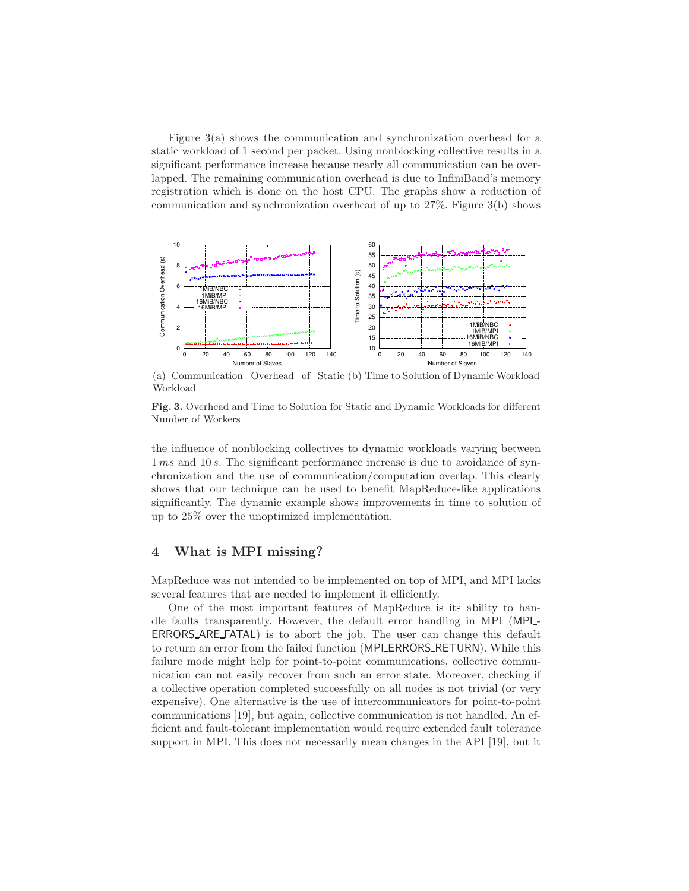Figure 3(a) shows the communication and synchronization overhead for a static workload of 1 second per packet. Using nonblocking collective results in a significant performance increase because nearly all communication can be overlapped. The remaining communication overhead is due to InfiniBand's memory registration which is done on the host CPU. The graphs show a reduction of communication and synchronization overhead of up to 27%. Figure 3(b) shows



(a) Communication Overhead of Static (b) Time to Solution of Dynamic Workload Workload

Fig. 3. Overhead and Time to Solution for Static and Dynamic Workloads for different Number of Workers

the influence of nonblocking collectives to dynamic workloads varying between 1 ms and 10 s. The significant performance increase is due to avoidance of synchronization and the use of communication/computation overlap. This clearly shows that our technique can be used to benefit MapReduce-like applications significantly. The dynamic example shows improvements in time to solution of up to 25% over the unoptimized implementation.

### 4 What is MPI missing?

MapReduce was not intended to be implemented on top of MPI, and MPI lacks several features that are needed to implement it efficiently.

One of the most important features of MapReduce is its ability to handle faults transparently. However, the default error handling in MPI (MPI-ERRORS ARE FATAL) is to abort the job. The user can change this default to return an error from the failed function (MPI ERRORS RETURN). While this failure mode might help for point-to-point communications, collective communication can not easily recover from such an error state. Moreover, checking if a collective operation completed successfully on all nodes is not trivial (or very expensive). One alternative is the use of intercommunicators for point-to-point communications [19], but again, collective communication is not handled. An efficient and fault-tolerant implementation would require extended fault tolerance support in MPI. This does not necessarily mean changes in the API [19], but it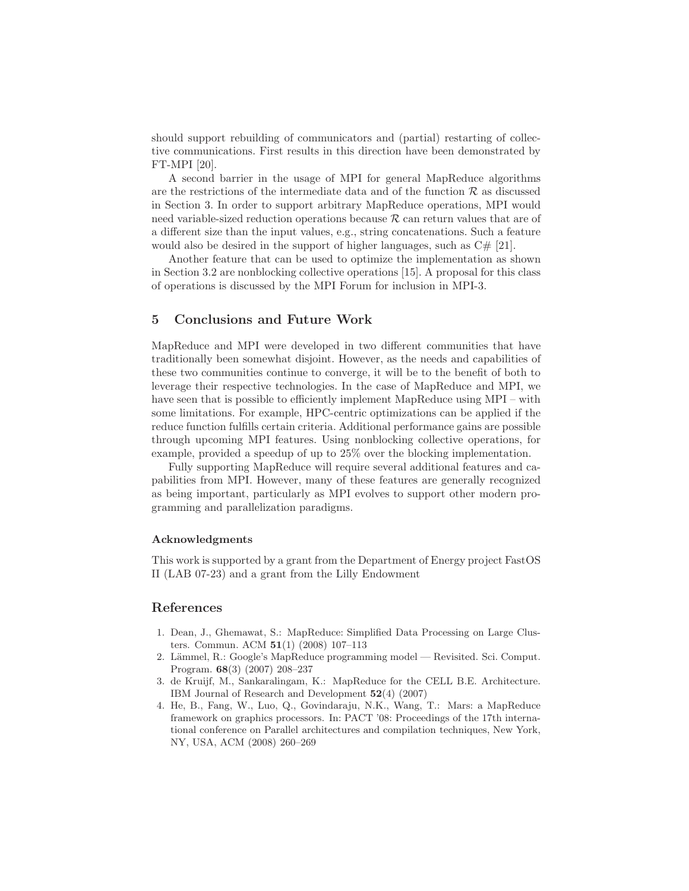should support rebuilding of communicators and (partial) restarting of collective communications. First results in this direction have been demonstrated by FT-MPI [20].

A second barrier in the usage of MPI for general MapReduce algorithms are the restrictions of the intermediate data and of the function  $R$  as discussed in Section 3. In order to support arbitrary MapReduce operations, MPI would need variable-sized reduction operations because  $\mathcal R$  can return values that are of a different size than the input values, e.g., string concatenations. Such a feature would also be desired in the support of higher languages, such as  $C#$  [21].

Another feature that can be used to optimize the implementation as shown in Section 3.2 are nonblocking collective operations [15]. A proposal for this class of operations is discussed by the MPI Forum for inclusion in MPI-3.

### 5 Conclusions and Future Work

MapReduce and MPI were developed in two different communities that have traditionally been somewhat disjoint. However, as the needs and capabilities of these two communities continue to converge, it will be to the benefit of both to leverage their respective technologies. In the case of MapReduce and MPI, we have seen that is possible to efficiently implement MapReduce using MPI – with some limitations. For example, HPC-centric optimizations can be applied if the reduce function fulfills certain criteria. Additional performance gains are possible through upcoming MPI features. Using nonblocking collective operations, for example, provided a speedup of up to 25% over the blocking implementation.

Fully supporting MapReduce will require several additional features and capabilities from MPI. However, many of these features are generally recognized as being important, particularly as MPI evolves to support other modern programming and parallelization paradigms.

#### Acknowledgments

This work is supported by a grant from the Department of Energy project FastOS II (LAB 07-23) and a grant from the Lilly Endowment

### References

- 1. Dean, J., Ghemawat, S.: MapReduce: Simplified Data Processing on Large Clusters. Commun. ACM 51(1) (2008) 107–113
- 2. Lämmel, R.: Google's MapReduce programming model Revisited. Sci. Comput. Program. 68(3) (2007) 208–237
- 3. de Kruijf, M., Sankaralingam, K.: MapReduce for the CELL B.E. Architecture. IBM Journal of Research and Development 52(4) (2007)
- 4. He, B., Fang, W., Luo, Q., Govindaraju, N.K., Wang, T.: Mars: a MapReduce framework on graphics processors. In: PACT '08: Proceedings of the 17th international conference on Parallel architectures and compilation techniques, New York, NY, USA, ACM (2008) 260–269